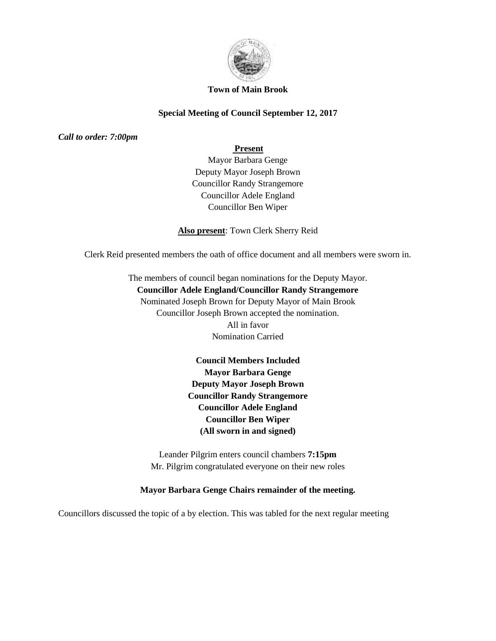

#### **Town of Main Brook**

# **Special Meeting of Council September 12, 2017**

*Call to order: 7:00pm*

## **Present**

Mayor Barbara Genge Deputy Mayor Joseph Brown Councillor Randy Strangemore Councillor Adele England Councillor Ben Wiper

### **Also present**: Town Clerk Sherry Reid

Clerk Reid presented members the oath of office document and all members were sworn in.

The members of council began nominations for the Deputy Mayor. **Councillor Adele England/Councillor Randy Strangemore** Nominated Joseph Brown for Deputy Mayor of Main Brook Councillor Joseph Brown accepted the nomination. All in favor Nomination Carried

> **Council Members Included Mayor Barbara Genge Deputy Mayor Joseph Brown Councillor Randy Strangemore Councillor Adele England Councillor Ben Wiper (All sworn in and signed)**

Leander Pilgrim enters council chambers **7:15pm** Mr. Pilgrim congratulated everyone on their new roles

### **Mayor Barbara Genge Chairs remainder of the meeting.**

Councillors discussed the topic of a by election. This was tabled for the next regular meeting